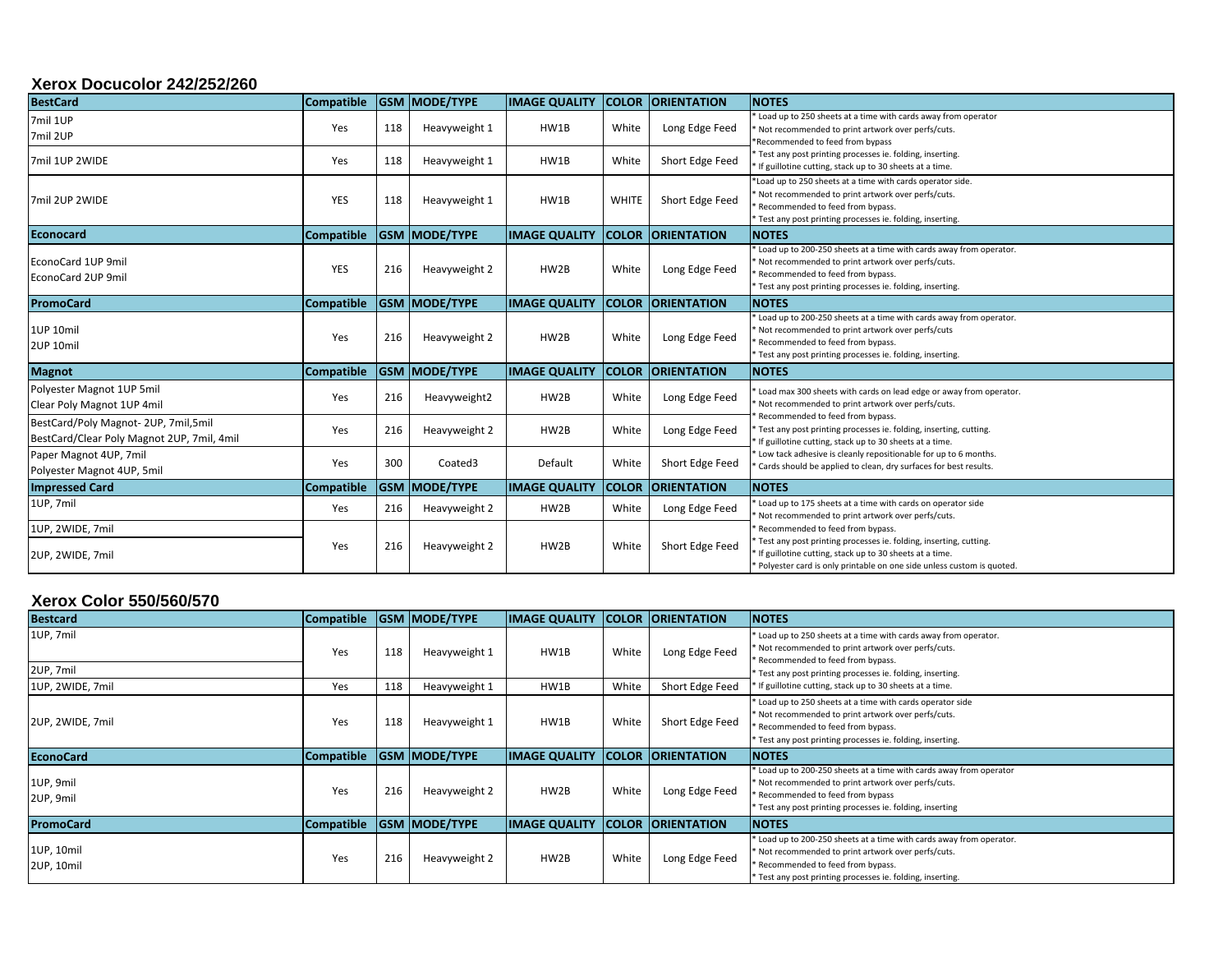#### **Xerox Docucolor 242/252/260**

| <b>BestCard</b>                                                                   | <b>Compatible</b> |     | <b>GSM MODE/TYPE</b>  | <b>IMAGE QUALITY</b> |              | <b>COLOR ORIENTATION</b> | <b>NOTES</b>                                                                                                                                                                                                              |
|-----------------------------------------------------------------------------------|-------------------|-----|-----------------------|----------------------|--------------|--------------------------|---------------------------------------------------------------------------------------------------------------------------------------------------------------------------------------------------------------------------|
| 7mil 1UP<br>7mil 2UP                                                              | Yes               | 118 | Heavyweight 1         | HW1B                 | White        | Long Edge Feed           | Load up to 250 sheets at a time with cards away from operator<br>Not recommended to print artwork over perfs/cuts.<br>Recommended to feed from bypass                                                                     |
| 7mil 1UP 2WIDE                                                                    | Yes               | 118 | Heavyweight 1         | HW1B                 | White        | Short Edge Feed          | * Test any post printing processes ie. folding, inserting.<br>If guillotine cutting, stack up to 30 sheets at a time.                                                                                                     |
| 7mil 2UP 2WIDE                                                                    | YES               | 118 | Heavyweight 1         | HW1B                 | <b>WHITE</b> | Short Edge Feed          | *Load up to 250 sheets at a time with cards operator side.<br>Not recommended to print artwork over perfs/cuts.<br>Recommended to feed from bypass.<br>Test any post printing processes ie. folding, inserting.           |
| <b>Econocard</b>                                                                  | <b>Compatible</b> |     | <b>IGSM MODE/TYPE</b> | <b>IMAGE QUALITY</b> |              | <b>COLOR ORIENTATION</b> | <b>NOTES</b>                                                                                                                                                                                                              |
| EconoCard 1UP 9mil<br>EconoCard 2UP 9mil                                          | YES               | 216 | Heavyweight 2         | HW2B                 | White        | Long Edge Feed           | Load up to 200-250 sheets at a time with cards away from operator.<br>Not recommended to print artwork over perfs/cuts.<br>Recommended to feed from bypass.<br>* Test any post printing processes ie. folding, inserting. |
| <b>PromoCard</b>                                                                  | <b>Compatible</b> |     | <b>GSM MODE/TYPE</b>  | <b>IMAGE QUALITY</b> |              | <b>COLOR ORIENTATION</b> | <b>NOTES</b>                                                                                                                                                                                                              |
| 1UP 10mil<br>2UP 10mil                                                            | Yes               | 216 | Heavyweight 2         | HW2B                 | White        | Long Edge Feed           | Load up to 200-250 sheets at a time with cards away from operator.<br>Not recommended to print artwork over perfs/cuts<br>Recommended to feed from bypass.<br>* Test any post printing processes ie. folding, inserting.  |
| <b>Magnot</b>                                                                     | <b>Compatible</b> |     | <b>IGSM MODE/TYPE</b> | <b>IMAGE QUALITY</b> |              | <b>COLOR ORIENTATION</b> | <b>NOTES</b>                                                                                                                                                                                                              |
| Polyester Magnot 1UP 5mil<br>Clear Poly Magnot 1UP 4mil                           | Yes               | 216 | Heavyweight2          | HW2B                 | White        | Long Edge Feed           | Load max 300 sheets with cards on lead edge or away from operator.<br>Not recommended to print artwork over perfs/cuts.                                                                                                   |
| BestCard/Poly Magnot-2UP, 7mil,5mil<br>BestCard/Clear Poly Magnot 2UP, 7mil, 4mil | Yes               | 216 | Heavyweight 2         | HW2B                 | White        | Long Edge Feed           | Recommended to feed from bypass.<br>Test any post printing processes ie. folding, inserting, cutting.<br>If guillotine cutting, stack up to 30 sheets at a time.                                                          |
| Paper Magnot 4UP, 7mil<br>Polyester Magnot 4UP, 5mil                              | Yes               | 300 | Coated3               | Default              | White        | Short Edge Feed          | Low tack adhesive is cleanly repositionable for up to 6 months.<br>Cards should be applied to clean, dry surfaces for best results.                                                                                       |
| <b>Impressed Card</b>                                                             | <b>Compatible</b> |     | <b>GSM MODE/TYPE</b>  | <b>IMAGE QUALITY</b> |              | <b>COLOR ORIENTATION</b> | <b>NOTES</b>                                                                                                                                                                                                              |
| 1UP, 7mil                                                                         | Yes               | 216 | Heavyweight 2         | HW2B                 | White        | Long Edge Feed           | Load up to 175 sheets at a time with cards on operator side<br>Not recommended to print artwork over perfs/cuts.                                                                                                          |
| 1UP, 2WIDE, 7mil                                                                  |                   |     |                       |                      |              |                          | Recommended to feed from bypass.                                                                                                                                                                                          |
| 2UP, 2WIDE, 7mil                                                                  | Yes               | 216 | Heavyweight 2         | HW2B                 | White        | Short Edge Feed          | * Test any post printing processes ie. folding, inserting, cutting.<br>If guillotine cutting, stack up to 30 sheets at a time.<br>* Polyester card is only printable on one side unless custom is quoted.                 |

## **Xerox Color 550/560/570**

| <b>Bestcard</b>          | <b>Compatible</b> |     | <b>GSM MODE/TYPE</b> | <b>IMAGE QUALITY</b> |              | <b>COLOR ORIENTATION</b> | <b>INOTES</b>                                                                                                                                                                                                               |
|--------------------------|-------------------|-----|----------------------|----------------------|--------------|--------------------------|-----------------------------------------------------------------------------------------------------------------------------------------------------------------------------------------------------------------------------|
| 1UP, 7mil<br>2UP, 7mil   | Yes               | 118 | Heavyweight 1        | HW1B                 | White        | Long Edge Feed           | * Load up to 250 sheets at a time with cards away from operator.<br>Not recommended to print artwork over perfs/cuts.<br>Recommended to feed from bypass.<br>Test any post printing processes ie. folding, inserting.       |
| 1UP, 2WIDE, 7mil         | Yes               | 118 | Heavyweight 1        | HW1B                 | White        | Short Edge Feed          | If guillotine cutting, stack up to 30 sheets at a time.                                                                                                                                                                     |
| 2UP, 2WIDE, 7mil         | Yes               | 118 | Heavyweight 1        | HW1B                 | White        | Short Edge Feed          | Load up to 250 sheets at a time with cards operator side<br>* Not recommended to print artwork over perfs/cuts.<br>Recommended to feed from bypass.<br>Test any post printing processes ie. folding, inserting.             |
| <b>EconoCard</b>         | <b>Compatible</b> |     | <b>GSM MODE/TYPE</b> | <b>IMAGE QUALITY</b> | <b>COLOR</b> | <b>ORIENTATION</b>       | <b>NOTES</b>                                                                                                                                                                                                                |
| 1UP, 9mil<br>2UP, 9mil   | Yes               | 216 | Heavyweight 2        | HW2B                 | White        | Long Edge Feed           | Load up to 200-250 sheets at a time with cards away from operator<br>Not recommended to print artwork over perfs/cuts.<br>Recommended to feed from bypass<br>Test any post printing processes ie. folding, inserting        |
| <b>PromoCard</b>         | <b>Compatible</b> |     | <b>GSM MODE/TYPE</b> | <b>IMAGE QUALITY</b> | <b>COLOR</b> | <b>ORIENTATION</b>       | <b>NOTES</b>                                                                                                                                                                                                                |
| 1UP, 10mil<br>2UP, 10mil | Yes               | 216 | Heavyweight 2        | HW2B                 | White        | Long Edge Feed           | Load up to 200-250 sheets at a time with cards away from operator.<br>* Not recommended to print artwork over perfs/cuts.<br>* Recommended to feed from bypass.<br>Test any post printing processes ie. folding, inserting. |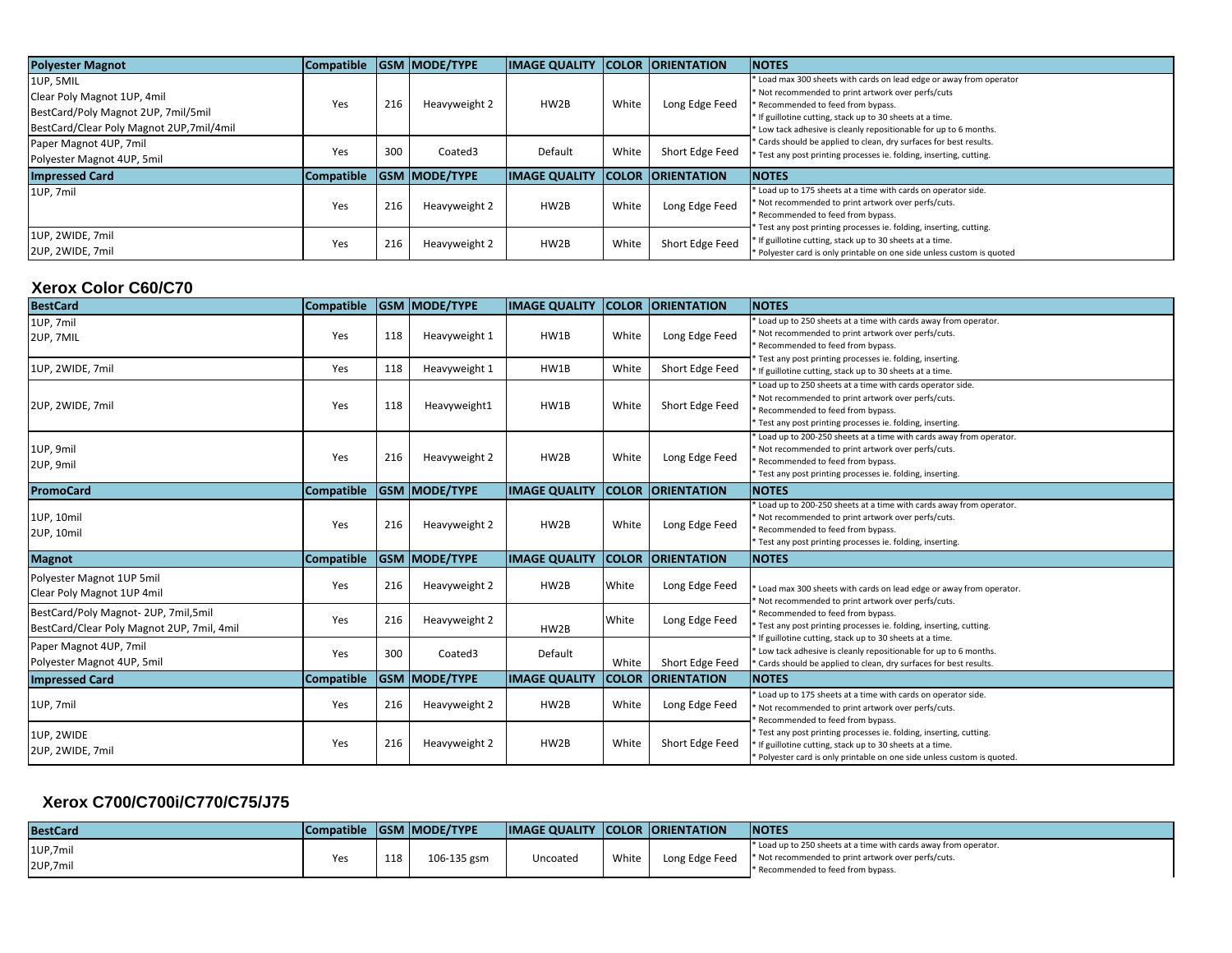| <b>Polyester Magnot</b>                  | <b>Compatible</b> |     | <b>GSM MODE/TYPE</b> | <b>IMAGE QUALITY</b> |       | <b>COLOR ORIENTATION</b> | <b>NOTES</b>                                                                            |
|------------------------------------------|-------------------|-----|----------------------|----------------------|-------|--------------------------|-----------------------------------------------------------------------------------------|
| 1UP, 5MIL                                |                   |     |                      |                      |       |                          | Load max 300 sheets with cards on lead edge or away from operator                       |
| Clear Poly Magnot 1UP, 4mil              | Yes               | 216 | Heavyweight 2        | HW2B                 | White | Long Edge Feed           | * Not recommended to print artwork over perfs/cuts<br>Recommended to feed from bypass.  |
| BestCard/Poly Magnot 2UP, 7mil/5mil      |                   |     |                      |                      |       |                          | * If guillotine cutting, stack up to 30 sheets at a time.                               |
| BestCard/Clear Poly Magnot 2UP,7mil/4mil |                   |     |                      |                      |       |                          | Low tack adhesive is cleanly repositionable for up to 6 months.                         |
| Paper Magnot 4UP, 7mil                   | Yes               | 300 | Coated3              | Default              | White | Short Edge Feed          | * Cards should be applied to clean, dry surfaces for best results.                      |
| Polyester Magnot 4UP, 5mil               |                   |     |                      |                      |       |                          | Test any post printing processes ie. folding, inserting, cutting.                       |
| <b>Impressed Card</b>                    | <b>Compatible</b> |     | <b>GSM MODE/TYPE</b> | <b>IMAGE QUALITY</b> |       | <b>COLOR ORIENTATION</b> | <b>INOTES</b>                                                                           |
| 1UP. 7mil                                |                   |     |                      |                      |       |                          | Load up to 175 sheets at a time with cards on operator side.                            |
|                                          | Yes               | 216 | Heavyweight 2        | HW2B                 | White | Long Edge Feed           | Not recommended to print artwork over perfs/cuts.<br>* Recommended to feed from bypass. |
|                                          |                   |     |                      |                      |       |                          | Test any post printing processes ie. folding, inserting, cutting.                       |
| 1UP, 2WIDE, 7mil                         | Yes               | 216 | Heavyweight 2        | HW2B                 | White | Short Edge Feed          | * If guillotine cutting, stack up to 30 sheets at a time.                               |
| 2UP, 2WIDE, 7mil                         |                   |     |                      |                      |       |                          | Polyester card is only printable on one side unless custom is quoted                    |

# **Xerox Color C60/C70**

| <b>BestCard</b>                                                                   | <b>Compatible</b> |     | <b>GSM MODE/TYPE</b> | <b>IMAGE QUALITY</b> |              | <b>COLOR ORIENTATION</b> | <b>NOTES</b>                                                                                                                                                                                                              |
|-----------------------------------------------------------------------------------|-------------------|-----|----------------------|----------------------|--------------|--------------------------|---------------------------------------------------------------------------------------------------------------------------------------------------------------------------------------------------------------------------|
| 1UP, 7mil<br>2UP, 7MIL                                                            | Yes               | 118 | Heavyweight 1        | HW1B                 | White        | Long Edge Feed           | * Load up to 250 sheets at a time with cards away from operator.<br>Not recommended to print artwork over perfs/cuts.<br>Recommended to feed from bypass.                                                                 |
| 1UP, 2WIDE, 7mil                                                                  | Yes               | 118 | Heavyweight 1        | HW1B                 | White        | Short Edge Feed          | Test any post printing processes ie. folding, inserting.<br>* If guillotine cutting, stack up to 30 sheets at a time.                                                                                                     |
| 2UP, 2WIDE, 7mil                                                                  | Yes               | 118 | Heavyweight1         | HW1B                 | White        | Short Edge Feed          | Load up to 250 sheets at a time with cards operator side.<br>Not recommended to print artwork over perfs/cuts.<br>Recommended to feed from bypass.<br>Test any post printing processes ie. folding, inserting.            |
| 1UP, 9mil<br>2UP, 9mil                                                            | Yes               | 216 | Heavyweight 2        | HW2B                 | White        | Long Edge Feed           | Load up to 200-250 sheets at a time with cards away from operator.<br>Not recommended to print artwork over perfs/cuts.<br>Recommended to feed from bypass.<br>Test any post printing processes ie. folding, inserting.   |
| <b>PromoCard</b>                                                                  | <b>Compatible</b> |     | <b>GSM MODE/TYPE</b> | <b>IMAGE QUALITY</b> |              | <b>COLOR ORIENTATION</b> | <b>NOTES</b>                                                                                                                                                                                                              |
| 1UP, 10mil<br>2UP, 10mil                                                          | Yes               | 216 | Heavyweight 2        | HW2B                 | White        | Long Edge Feed           | Load up to 200-250 sheets at a time with cards away from operator.<br>Not recommended to print artwork over perfs/cuts.<br>Recommended to feed from bypass.<br>* Test any post printing processes ie. folding, inserting. |
| <b>Magnot</b>                                                                     | <b>Compatible</b> |     | <b>GSM MODE/TYPE</b> | <b>IMAGE QUALITY</b> |              | <b>COLOR ORIENTATION</b> | <b>NOTES</b>                                                                                                                                                                                                              |
| Polyester Magnot 1UP 5mil<br>Clear Poly Magnot 1UP 4mil                           | Yes               | 216 | Heavyweight 2        | HW2B                 | White        | Long Edge Feed           | Load max 300 sheets with cards on lead edge or away from operator.<br>Not recommended to print artwork over perfs/cuts.                                                                                                   |
| BestCard/Poly Magnot-2UP, 7mil,5mil<br>BestCard/Clear Poly Magnot 2UP, 7mil, 4mil | Yes               | 216 | Heavyweight 2        | HW2B                 | White        | Long Edge Feed           | * Recommended to feed from bypass.<br>Test any post printing processes ie. folding, inserting, cutting.<br>If guillotine cutting, stack up to 30 sheets at a time.                                                        |
| Paper Magnot 4UP, 7mil<br>Polyester Magnot 4UP, 5mil                              | Yes               | 300 | Coated3              | Default              | White        | Short Edge Feed          | * Low tack adhesive is cleanly repositionable for up to 6 months.<br>Cards should be applied to clean, dry surfaces for best results.                                                                                     |
| <b>Impressed Card</b>                                                             | Compatible        |     | <b>GSM MODE/TYPE</b> | <b>IMAGE QUALITY</b> | <b>COLOR</b> | <b>ORIENTATION</b>       | <b>NOTES</b>                                                                                                                                                                                                              |
| 1UP, 7mil                                                                         | Yes               | 216 | Heavyweight 2        | HW2B                 | White        | Long Edge Feed           | * Load up to 175 sheets at a time with cards on operator side.<br>Not recommended to print artwork over perfs/cuts.<br>Recommended to feed from bypass.                                                                   |
| 1UP, 2WIDE<br>2UP, 2WIDE, 7mil                                                    | Yes               | 216 | Heavyweight 2        | HW2B                 | White        | Short Edge Feed          | Test any post printing processes ie. folding, inserting, cutting.<br>If guillotine cutting, stack up to 30 sheets at a time.<br>Polyester card is only printable on one side unless custom is quoted.                     |

## **Xerox C700/C700i/C770/C75/J75**

| <b>BestCard</b>    | <b>Compatible</b> |                | <b>GSM MODE/TYPE</b> | <b>IMAGE QUALITY COLOR ORIENTATION</b> |       |                | <b>INOTES</b>                                                                                                                                                 |
|--------------------|-------------------|----------------|----------------------|----------------------------------------|-------|----------------|---------------------------------------------------------------------------------------------------------------------------------------------------------------|
| 1UP,7mi<br>2UP,7mi | Yes               | 110<br><b></b> | 106-135 gsm          | Uncoated                               | White | Long Edge Feed | * Load up to 250 sheets at a time with cards away from operator.<br>* Not recommended to print artwork over perfs/cuts.<br>* Recommended to feed from bypass. |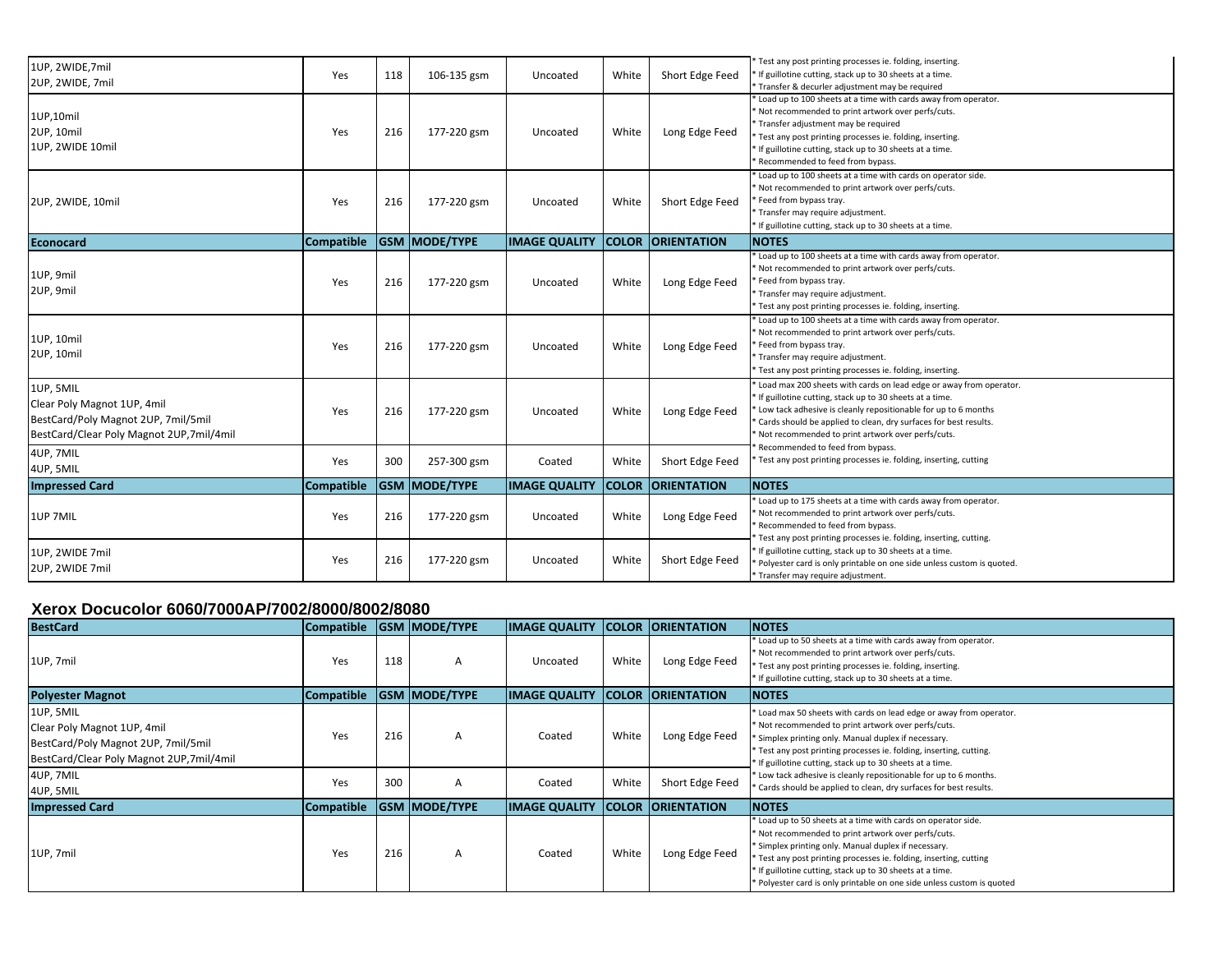| 1UP, 2WIDE, 7mil<br>2UP, 2WIDE, 7mil                                                                                        | Yes               | 118 | 106-135 gsm          | Uncoated             | White        | Short Edge Feed    | Test any post printing processes ie. folding, inserting.<br>If guillotine cutting, stack up to 30 sheets at a time.<br>* Transfer & decurler adjustment may be required                                                                                                                                                        |
|-----------------------------------------------------------------------------------------------------------------------------|-------------------|-----|----------------------|----------------------|--------------|--------------------|--------------------------------------------------------------------------------------------------------------------------------------------------------------------------------------------------------------------------------------------------------------------------------------------------------------------------------|
| 1UP,10mil<br>2UP, 10mil<br>1UP, 2WIDE 10mil                                                                                 | Yes               | 216 | 177-220 gsm          | Uncoated             | White        | Long Edge Feed     | Load up to 100 sheets at a time with cards away from operator.<br>* Not recommended to print artwork over perfs/cuts.<br>* Transfer adjustment may be required<br>Test any post printing processes ie. folding, inserting.<br>* If guillotine cutting, stack up to 30 sheets at a time.<br>* Recommended to feed from bypass.  |
| 2UP, 2WIDE, 10mil                                                                                                           | Yes               | 216 | 177-220 gsm          | Uncoated             | White        | Short Edge Feed    | Load up to 100 sheets at a time with cards on operator side.<br>* Not recommended to print artwork over perfs/cuts.<br>* Feed from bypass tray.<br>* Transfer may require adjustment.<br>* If guillotine cutting, stack up to 30 sheets at a time.                                                                             |
| <b>Econocard</b>                                                                                                            | <b>Compatible</b> |     | <b>GSM MODE/TYPE</b> | <b>IMAGE QUALITY</b> | <b>COLOR</b> | <b>ORIENTATION</b> | <b>NOTES</b>                                                                                                                                                                                                                                                                                                                   |
| 1UP, 9mil<br>2UP, 9mil                                                                                                      | Yes               | 216 | 177-220 gsm          | Uncoated             | White        | Long Edge Feed     | Load up to 100 sheets at a time with cards away from operator.<br>* Not recommended to print artwork over perfs/cuts.<br>Feed from bypass tray.<br>* Transfer may require adjustment.<br>* Test any post printing processes ie. folding, inserting.                                                                            |
| 1UP, 10mil<br>2UP, 10mil                                                                                                    | Yes               | 216 | 177-220 gsm          | Uncoated             | White        | Long Edge Feed     | Load up to 100 sheets at a time with cards away from operator.<br>* Not recommended to print artwork over perfs/cuts.<br>Feed from bypass tray.<br>* Transfer may require adjustment.<br>* Test any post printing processes ie. folding, inserting.                                                                            |
| 1UP, 5MIL<br>Clear Poly Magnot 1UP, 4mil<br>BestCard/Poly Magnot 2UP, 7mil/5mil<br>BestCard/Clear Poly Magnot 2UP,7mil/4mil | Yes               | 216 | 177-220 gsm          | Uncoated             | White        | Long Edge Feed     | * Load max 200 sheets with cards on lead edge or away from operator.<br>* If guillotine cutting, stack up to 30 sheets at a time.<br>Low tack adhesive is cleanly repositionable for up to 6 months<br>Cards should be applied to clean, dry surfaces for best results.<br>* Not recommended to print artwork over perfs/cuts. |
| 4UP, 7MIL<br>4UP, 5MIL                                                                                                      | Yes               | 300 | 257-300 gsm          | Coated               | White        | Short Edge Feed    | Recommended to feed from bypass.<br>Test any post printing processes ie. folding, inserting, cutting                                                                                                                                                                                                                           |
| <b>Impressed Card</b>                                                                                                       | Compatible        |     | <b>GSM MODE/TYPE</b> | <b>IMAGE QUALITY</b> | <b>COLOR</b> | <b>ORIENTATION</b> | <b>INOTES</b>                                                                                                                                                                                                                                                                                                                  |
| 1UP 7MIL                                                                                                                    | Yes               | 216 | 177-220 gsm          | Uncoated             | White        | Long Edge Feed     | Load up to 175 sheets at a time with cards away from operator.<br>Not recommended to print artwork over perfs/cuts.<br>* Recommended to feed from bypass.<br>Test any post printing processes ie. folding, inserting, cutting.                                                                                                 |
| 1UP, 2WIDE 7mil<br>2UP, 2WIDE 7mil                                                                                          | Yes               | 216 | 177-220 gsm          | Uncoated             | White        | Short Edge Feed    | * If guillotine cutting, stack up to 30 sheets at a time.<br>Polyester card is only printable on one side unless custom is quoted.<br>* Transfer may require adjustment.                                                                                                                                                       |

#### **Xerox Docucolor 6060/7000AP/7002/8000/8002/8080**

| <b>BestCard</b>                                                                                                                | Compatible        |     | <b>GSM MODE/TYPE</b> | <b>IMAGE QUALITY</b> | <b>COLOR</b> | <b>ORIENTATION</b> | <b>NOTES</b>                                                                                                                                                                                                                                                                                                                                                                            |
|--------------------------------------------------------------------------------------------------------------------------------|-------------------|-----|----------------------|----------------------|--------------|--------------------|-----------------------------------------------------------------------------------------------------------------------------------------------------------------------------------------------------------------------------------------------------------------------------------------------------------------------------------------------------------------------------------------|
| 1UP, 7mil                                                                                                                      | Yes               | 118 | A                    | Uncoated             | White        | Long Edge Feed     | Load up to 50 sheets at a time with cards away from operator.<br>* Not recommended to print artwork over perfs/cuts.<br>Test any post printing processes ie. folding, inserting.<br>* If guillotine cutting, stack up to 30 sheets at a time.                                                                                                                                           |
| <b>Polyester Magnot</b>                                                                                                        | <b>Compatible</b> |     | <b>GSM MODE/TYPE</b> | <b>IMAGE QUALITY</b> | <b>COLOR</b> | <b>ORIENTATION</b> | <b>NOTES</b>                                                                                                                                                                                                                                                                                                                                                                            |
| 1UP, 5MIL<br>Clear Poly Magnot 1UP, 4mil<br>BestCard/Poly Magnot 2UP, 7mil/5mil<br>BestCard/Clear Poly Magnot 2UP, 7 mil/4 mil | Yes               | 216 | A                    | Coated               | White        | Long Edge Feed     | * Load max 50 sheets with cards on lead edge or away from operator.<br>* Not recommended to print artwork over perfs/cuts.<br>* Simplex printing only. Manual duplex if necessary.<br>* Test any post printing processes ie. folding, inserting, cutting.<br>* If guillotine cutting, stack up to 30 sheets at a time.                                                                  |
| 4UP, 7MIL<br>4UP, 5MIL                                                                                                         | Yes               | 300 | A                    | Coated               | White        | Short Edge Feed    | * Low tack adhesive is cleanly repositionable for up to 6 months.<br>Cards should be applied to clean, dry surfaces for best results.                                                                                                                                                                                                                                                   |
| <b>Impressed Card</b>                                                                                                          | <b>Compatible</b> |     | <b>GSM MODE/TYPE</b> | <b>IMAGE QUALITY</b> | <b>COLOR</b> | <b>ORIENTATION</b> | <b>INOTES</b>                                                                                                                                                                                                                                                                                                                                                                           |
| 1UP, 7mil                                                                                                                      | Yes               | 216 | A                    | Coated               | White        | Long Edge Feed     | * Load up to 50 sheets at a time with cards on operator side.<br>* Not recommended to print artwork over perfs/cuts.<br>* Simplex printing only. Manual duplex if necessary.<br>Test any post printing processes ie. folding, inserting, cutting<br>* If guillotine cutting, stack up to 30 sheets at a time.<br>* Polyester card is only printable on one side unless custom is quoted |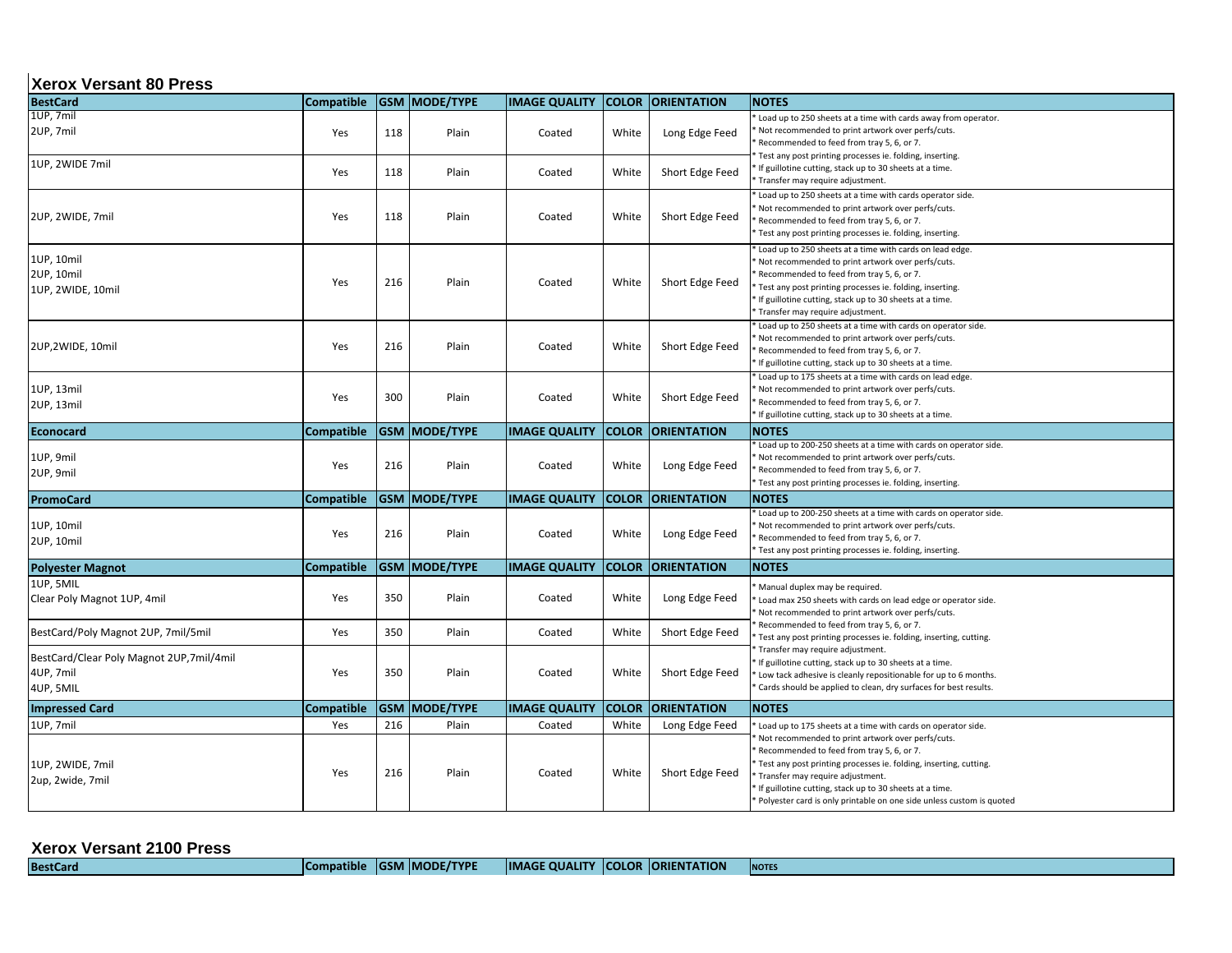#### **Xerox Versant 80 Press**

| <b>BestCard</b>                                                    | Compatible        |            | <b>GSM MODE/TYPE</b> | <b>IMAGE QUALITY</b> | <b>COLOR</b>   | <b>ORIENTATION</b>                | <b>NOTES</b>                                                                                                                                                                                                                                                                                                                                                                                               |
|--------------------------------------------------------------------|-------------------|------------|----------------------|----------------------|----------------|-----------------------------------|------------------------------------------------------------------------------------------------------------------------------------------------------------------------------------------------------------------------------------------------------------------------------------------------------------------------------------------------------------------------------------------------------------|
| 1UP, 7mil<br>2UP, 7mil                                             | Yes               | 118        | Plain                | Coated               | White          | Long Edge Feed                    | Load up to 250 sheets at a time with cards away from operator.<br>Not recommended to print artwork over perfs/cuts.<br>Recommended to feed from tray 5, 6, or 7.<br>Test any post printing processes ie. folding, inserting.                                                                                                                                                                               |
| 1UP, 2WIDE 7mil                                                    | Yes               | 118        | Plain                | Coated               | White          | Short Edge Feed                   | If guillotine cutting, stack up to 30 sheets at a time.<br>Transfer may require adjustment.                                                                                                                                                                                                                                                                                                                |
| 2UP, 2WIDE, 7mil                                                   | Yes               | 118        | Plain                | Coated               | White          | Short Edge Feed                   | Load up to 250 sheets at a time with cards operator side.<br>Not recommended to print artwork over perfs/cuts.<br>Recommended to feed from tray 5, 6, or 7.<br>Test any post printing processes ie. folding, inserting.                                                                                                                                                                                    |
| 1UP, 10mil<br>2UP, 10mil<br>1UP, 2WIDE, 10mil                      | Yes               | 216        | Plain                | Coated               | White          | Short Edge Feed                   | Load up to 250 sheets at a time with cards on lead edge.<br>Not recommended to print artwork over perfs/cuts.<br>Recommended to feed from tray 5, 6, or 7.<br>Test any post printing processes ie. folding, inserting.<br>If guillotine cutting, stack up to 30 sheets at a time.<br>Transfer may require adjustment.                                                                                      |
| 2UP,2WIDE, 10mil                                                   | Yes               | 216        | Plain                | Coated               | White          | Short Edge Feed                   | Load up to 250 sheets at a time with cards on operator side.<br>Not recommended to print artwork over perfs/cuts.<br>Recommended to feed from tray 5, 6, or 7.<br>If guillotine cutting, stack up to 30 sheets at a time.                                                                                                                                                                                  |
| 1UP, 13mil<br>2UP, 13mil                                           | Yes               | 300        | Plain                | Coated               | White          | Short Edge Feed                   | Load up to 175 sheets at a time with cards on lead edge.<br>Not recommended to print artwork over perfs/cuts.<br>Recommended to feed from tray 5, 6, or 7.<br>If guillotine cutting, stack up to 30 sheets at a time.                                                                                                                                                                                      |
| Econocard                                                          | <b>Compatible</b> |            | GSM  MODE/TYPE       | <b>IMAGE QUALITY</b> | <b>COLOR</b>   | <b>ORIENTATION</b>                | <b>NOTES</b>                                                                                                                                                                                                                                                                                                                                                                                               |
| 1UP, 9mil<br>2UP, 9mil                                             | Yes               | 216        | Plain                | Coated               | White          | Long Edge Feed                    | Load up to 200-250 sheets at a time with cards on operator side.<br>Not recommended to print artwork over perfs/cuts.<br>Recommended to feed from tray 5, 6, or 7.<br>Test any post printing processes ie. folding, inserting.                                                                                                                                                                             |
| <b>PromoCard</b>                                                   | <b>Compatible</b> |            | GSM  MODE/TYPE       | <b>IMAGE QUALITY</b> | <b>COLOR</b>   | <b>ORIENTATION</b>                | <b>NOTES</b>                                                                                                                                                                                                                                                                                                                                                                                               |
| 1UP, 10mil<br>2UP, 10mil                                           | Yes               | 216        | Plain                | Coated               | White          | Long Edge Feed                    | Load up to 200-250 sheets at a time with cards on operator side.<br>Not recommended to print artwork over perfs/cuts.<br>Recommended to feed from tray 5, 6, or 7.<br>Test any post printing processes ie. folding, inserting.                                                                                                                                                                             |
| <b>Polyester Magnot</b>                                            | Compatible        |            | GSM MODE/TYPE        | <b>IMAGE QUALITY</b> | <b>COLOR</b>   | <b>ORIENTATION</b>                | <b>NOTES</b>                                                                                                                                                                                                                                                                                                                                                                                               |
| 1UP, 5MIL<br>Clear Poly Magnot 1UP, 4mil                           | Yes               | 350        | Plain                | Coated               | White          | Long Edge Feed                    | Manual duplex may be required.<br>Load max 250 sheets with cards on lead edge or operator side.<br>Not recommended to print artwork over perfs/cuts.                                                                                                                                                                                                                                                       |
| BestCard/Poly Magnot 2UP, 7mil/5mil                                | Yes               | 350        | Plain                | Coated               | White          | Short Edge Feed                   | Recommended to feed from tray 5, 6, or 7.<br>Test any post printing processes ie. folding, inserting, cutting.                                                                                                                                                                                                                                                                                             |
| BestCard/Clear Poly Magnot 2UP,7mil/4mil<br>4UP, 7mil<br>4UP, 5MIL | Yes               | 350        | Plain                | Coated               | White          | Short Edge Feed                   | Transfer may require adjustment.<br>If guillotine cutting, stack up to 30 sheets at a time.<br>Low tack adhesive is cleanly repositionable for up to 6 months.<br>Cards should be applied to clean, dry surfaces for best results.                                                                                                                                                                         |
| <b>Impressed Card</b>                                              | Compatible        |            | GSM  MODE/TYPE       | <b>IMAGE QUALITY</b> | <b>COLOR</b>   | <b>ORIENTATION</b>                | <b>NOTES</b>                                                                                                                                                                                                                                                                                                                                                                                               |
| 1UP, 7mil<br>1UP, 2WIDE, 7mil<br>2up, 2wide, 7mil                  | Yes<br>Yes        | 216<br>216 | Plain<br>Plain       | Coated<br>Coated     | White<br>White | Long Edge Feed<br>Short Edge Feed | Load up to 175 sheets at a time with cards on operator side.<br>Not recommended to print artwork over perfs/cuts.<br>Recommended to feed from tray 5, 6, or 7.<br>Test any post printing processes ie. folding, inserting, cutting.<br>Transfer may require adjustment.<br>If guillotine cutting, stack up to 30 sheets at a time.<br>Polyester card is only printable on one side unless custom is quoted |

| <b>Xerox Versant 2100 Press</b> |                   |                        |                                |              |                    |              |
|---------------------------------|-------------------|------------------------|--------------------------------|--------------|--------------------|--------------|
| <b>RestCard</b>                 | <b>Compatible</b> | <b>IGSM IMODE/TYPE</b> | <b>QUALITY</b><br><b>IMAGE</b> | <b>COLOR</b> | <b>ORIENTATION</b> | <b>NOTES</b> |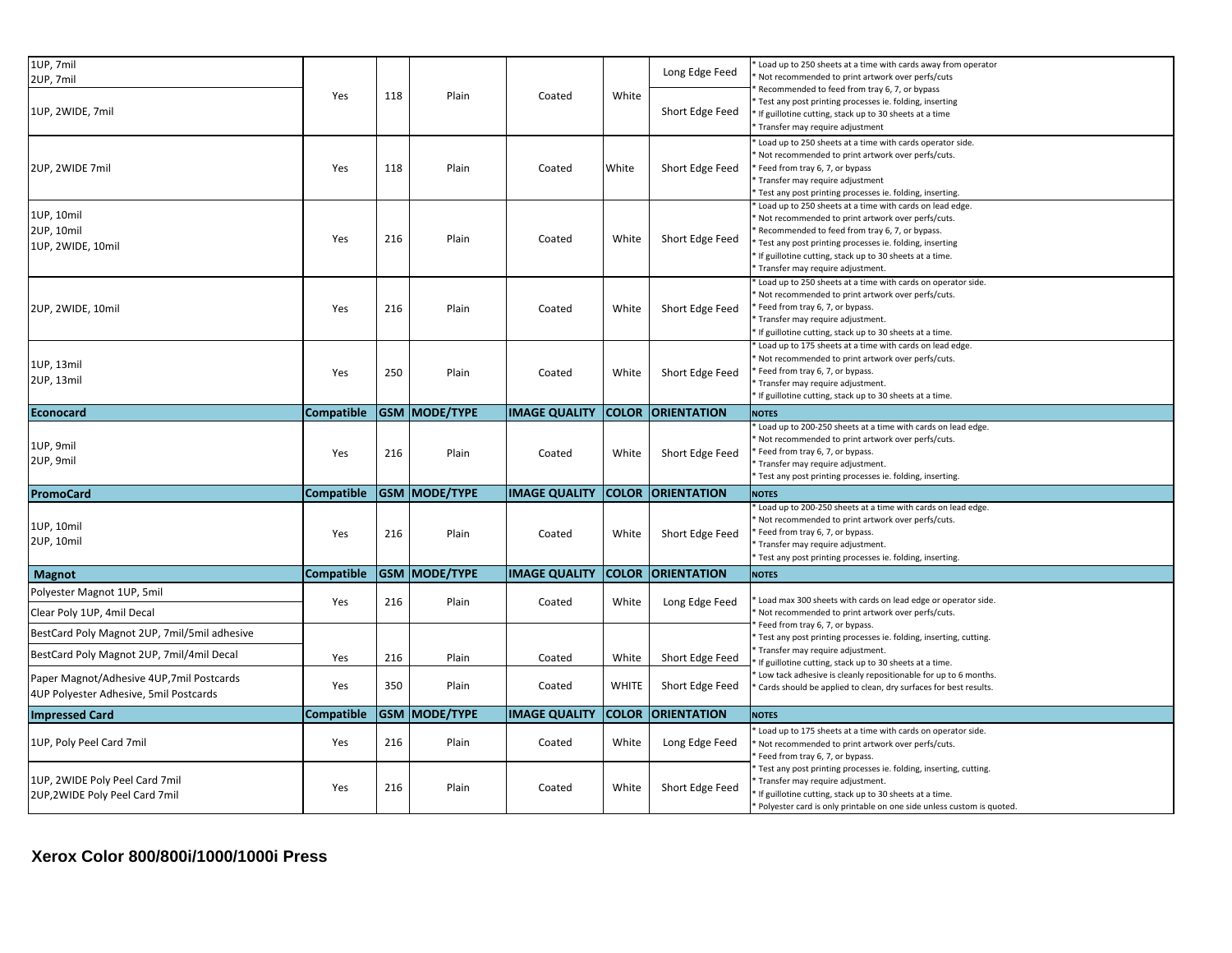| 1UP, 7mil                                                                          |                   |     |                      |                      |              | Long Edge Feed           | Load up to 250 sheets at a time with cards away from operator<br>Not recommended to print artwork over perfs/cuts                  |
|------------------------------------------------------------------------------------|-------------------|-----|----------------------|----------------------|--------------|--------------------------|------------------------------------------------------------------------------------------------------------------------------------|
| 2UP, 7mil                                                                          | Yes               | 118 | Plain                | Coated               | White        |                          | Recommended to feed from tray 6, 7, or bypass<br>Test any post printing processes ie. folding, inserting                           |
| 1UP, 2WIDE, 7mil                                                                   |                   |     |                      |                      |              | Short Edge Feed          | If guillotine cutting, stack up to 30 sheets at a time                                                                             |
|                                                                                    |                   |     |                      |                      |              |                          | Transfer may require adjustment                                                                                                    |
|                                                                                    |                   |     |                      |                      |              |                          | Load up to 250 sheets at a time with cards operator side.<br>Not recommended to print artwork over perfs/cuts.                     |
| 2UP, 2WIDE 7mil                                                                    | Yes               | 118 | Plain                | Coated               | White        | Short Edge Feed          | Feed from tray 6, 7, or bypass                                                                                                     |
|                                                                                    |                   |     |                      |                      |              |                          | Transfer may require adjustment                                                                                                    |
|                                                                                    |                   |     |                      |                      |              |                          | Test any post printing processes ie. folding, inserting.<br>Load up to 250 sheets at a time with cards on lead edge.               |
| 1UP, 10mil                                                                         |                   |     |                      |                      |              |                          | Not recommended to print artwork over perfs/cuts.                                                                                  |
| 2UP, 10mil                                                                         |                   |     |                      |                      |              |                          | Recommended to feed from tray 6, 7, or bypass.                                                                                     |
| 1UP, 2WIDE, 10mil                                                                  | Yes               | 216 | Plain                | Coated               | White        | Short Edge Feed          | Test any post printing processes ie. folding, inserting                                                                            |
|                                                                                    |                   |     |                      |                      |              |                          | If guillotine cutting, stack up to 30 sheets at a time.                                                                            |
|                                                                                    |                   |     |                      |                      |              |                          | Transfer may require adjustment.<br>Load up to 250 sheets at a time with cards on operator side.                                   |
|                                                                                    |                   |     |                      |                      |              |                          | Not recommended to print artwork over perfs/cuts.                                                                                  |
| 2UP, 2WIDE, 10mil                                                                  | Yes               | 216 | Plain                | Coated               | White        | Short Edge Feed          | Feed from tray 6, 7, or bypass.                                                                                                    |
|                                                                                    |                   |     |                      |                      |              |                          | Transfer may require adjustment.                                                                                                   |
|                                                                                    |                   |     |                      |                      |              |                          | If guillotine cutting, stack up to 30 sheets at a time.                                                                            |
|                                                                                    |                   |     |                      |                      |              |                          | Load up to 175 sheets at a time with cards on lead edge.                                                                           |
| 1UP, 13mil                                                                         | Yes               | 250 | Plain                | Coated               | White        | Short Edge Feed          | Not recommended to print artwork over perfs/cuts.<br>Feed from tray 6, 7, or bypass.                                               |
| 2UP, 13mil                                                                         |                   |     |                      |                      |              |                          | Transfer may require adjustment.                                                                                                   |
|                                                                                    |                   |     |                      |                      |              |                          | If guillotine cutting, stack up to 30 sheets at a time.                                                                            |
| Econocard                                                                          | <b>Compatible</b> |     | <b>GSM MODE/TYPE</b> | <b>IMAGE QUALITY</b> | <b>COLOR</b> | <b>ORIENTATION</b>       | <b>NOTES</b>                                                                                                                       |
|                                                                                    |                   |     |                      |                      |              |                          | Load up to 200-250 sheets at a time with cards on lead edge.                                                                       |
| 1UP, 9mil                                                                          | Yes               | 216 | Plain                |                      |              |                          | Not recommended to print artwork over perfs/cuts.<br>Feed from tray 6, 7, or bypass.                                               |
| 2UP, 9mil                                                                          |                   |     |                      | Coated               | White        | Short Edge Feed          | Transfer may require adjustment.                                                                                                   |
|                                                                                    |                   |     |                      |                      |              |                          | Test any post printing processes ie. folding, inserting.                                                                           |
| PromoCard                                                                          | <b>Compatible</b> |     | <b>GSM MODE/TYPE</b> | <b>IMAGE QUALITY</b> |              | <b>COLOR ORIENTATION</b> | <b>NOTES</b>                                                                                                                       |
|                                                                                    |                   |     |                      |                      |              |                          | Load up to 200-250 sheets at a time with cards on lead edge.                                                                       |
| 1UP, 10mil                                                                         |                   |     |                      |                      |              |                          | Not recommended to print artwork over perfs/cuts.                                                                                  |
| 2UP, 10mil                                                                         | Yes               | 216 | Plain                | Coated               | White        | Short Edge Feed          | Feed from tray 6, 7, or bypass.<br>Transfer may require adjustment.                                                                |
|                                                                                    |                   |     |                      |                      |              |                          | Test any post printing processes ie. folding, inserting.                                                                           |
| Magnot                                                                             | Compatible        |     | <b>GSM MODE/TYPE</b> | <b>IMAGE QUALITY</b> | <b>COLOR</b> | <b>ORIENTATION</b>       | <b>NOTES</b>                                                                                                                       |
| Polyester Magnot 1UP, 5mil                                                         |                   |     |                      |                      |              |                          |                                                                                                                                    |
| Clear Poly 1UP, 4mil Decal                                                         | Yes               | 216 | Plain                | Coated               | White        | Long Edge Feed           | Load max 300 sheets with cards on lead edge or operator side.<br>Not recommended to print artwork over perfs/cuts.                 |
| BestCard Poly Magnot 2UP, 7mil/5mil adhesive                                       |                   |     |                      |                      |              |                          | Feed from tray 6, 7, or bypass.<br>Test any post printing processes ie. folding, inserting, cutting.                               |
| BestCard Poly Magnot 2UP, 7mil/4mil Decal                                          |                   |     |                      |                      |              |                          | Transfer may require adjustment.                                                                                                   |
|                                                                                    | Yes               | 216 | Plain                | Coated               | White        |                          |                                                                                                                                    |
|                                                                                    |                   |     |                      |                      |              | Short Edge Feed          | If guillotine cutting, stack up to 30 sheets at a time.<br>Low tack adhesive is cleanly repositionable for up to 6 months.         |
| Paper Magnot/Adhesive 4UP,7mil Postcards<br>4UP Polyester Adhesive, 5mil Postcards | Yes               | 350 | Plain                | Coated               | <b>WHITE</b> | Short Edge Feed          | Cards should be applied to clean, dry surfaces for best results.                                                                   |
| <b>Impressed Card</b>                                                              | <b>Compatible</b> |     | <b>GSM MODE/TYPE</b> | <b>IMAGE QUALITY</b> | <b>COLOR</b> | <b>ORIENTATION</b>       | <b>NOTES</b>                                                                                                                       |
|                                                                                    |                   |     |                      |                      |              |                          | Load up to 175 sheets at a time with cards on operator side.                                                                       |
| 1UP, Poly Peel Card 7mil                                                           | Yes               | 216 | Plain                | Coated               | White        | Long Edge Feed           | Not recommended to print artwork over perfs/cuts.                                                                                  |
|                                                                                    |                   |     |                      |                      |              |                          | Feed from tray 6, 7, or bypass.                                                                                                    |
| 1UP, 2WIDE Poly Peel Card 7mil                                                     |                   |     |                      |                      |              |                          | Test any post printing processes ie. folding, inserting, cutting.<br>Transfer may require adjustment.                              |
| 2UP,2WIDE Poly Peel Card 7mil                                                      | Yes               | 216 | Plain                | Coated               | White        | Short Edge Feed          | If guillotine cutting, stack up to 30 sheets at a time.<br>* Polyester card is only printable on one side unless custom is quoted. |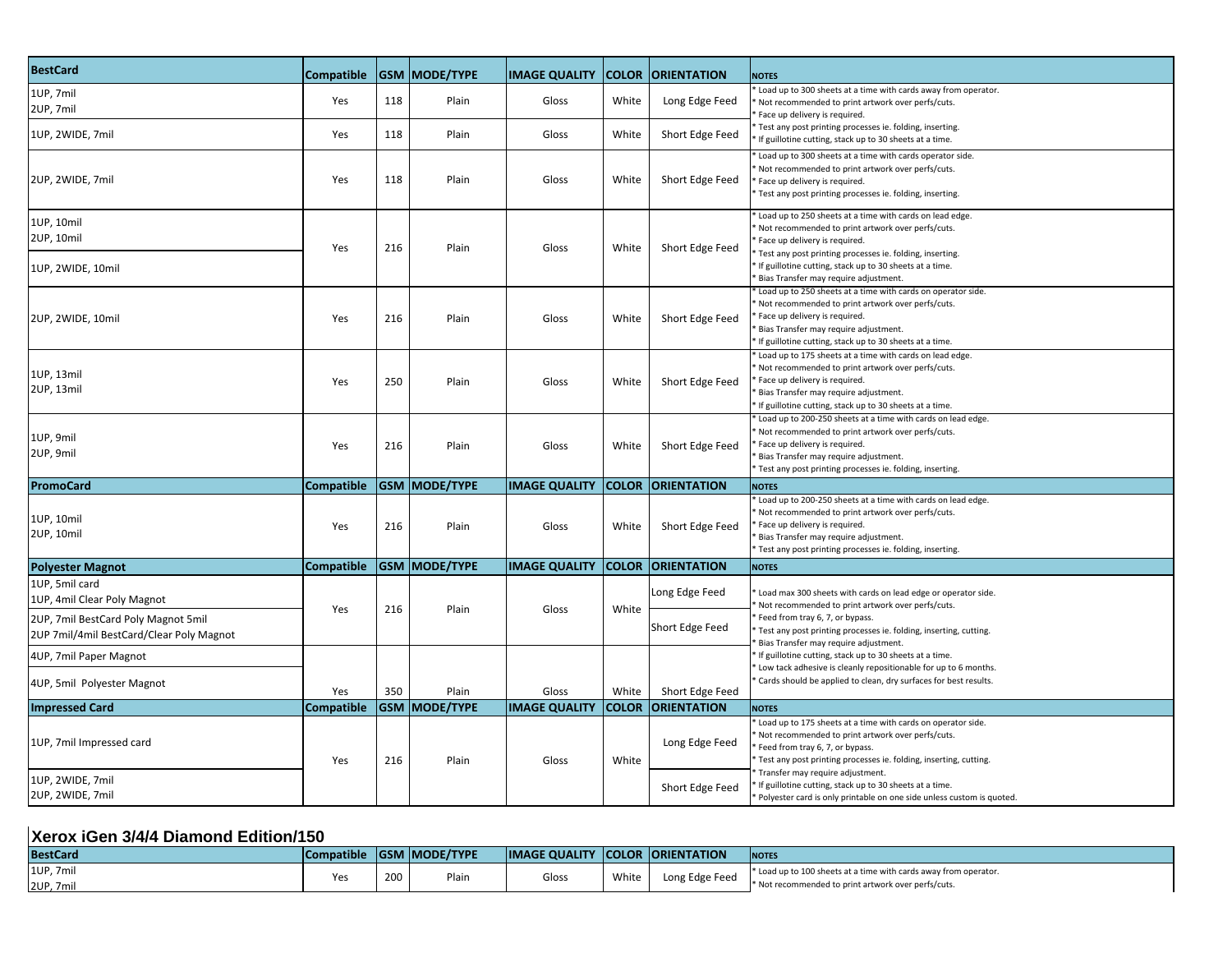| <b>BestCard</b>                                                                 | Compatible        |     | <b>GSM MODE/TYPE</b> | <b>IMAGE QUALITY</b> | <b>COLOR</b> | <b>ORIENTATION</b> | <b>NOTES</b>                                                                                                                                                                                                                                                                                                   |
|---------------------------------------------------------------------------------|-------------------|-----|----------------------|----------------------|--------------|--------------------|----------------------------------------------------------------------------------------------------------------------------------------------------------------------------------------------------------------------------------------------------------------------------------------------------------------|
| 1UP, 7mil<br>2UP, 7mil                                                          | Yes               | 118 | Plain                | Gloss                | White        | Long Edge Feed     | Load up to 300 sheets at a time with cards away from operator.<br>Not recommended to print artwork over perfs/cuts.<br>Face up delivery is required.                                                                                                                                                           |
| 1UP, 2WIDE, 7mil                                                                | Yes               | 118 | Plain                | Gloss                | White        | Short Edge Feed    | Test any post printing processes ie. folding, inserting.<br>If guillotine cutting, stack up to 30 sheets at a time.                                                                                                                                                                                            |
| 2UP, 2WIDE, 7mil                                                                | Yes               | 118 | Plain                | Gloss                | White        | Short Edge Feed    | Load up to 300 sheets at a time with cards operator side.<br>Not recommended to print artwork over perfs/cuts.<br>Face up delivery is required.<br>Test any post printing processes ie. folding, inserting.                                                                                                    |
| 1UP, 10mil<br>2UP, 10mil<br>1UP, 2WIDE, 10mil                                   | Yes               | 216 | Plain                | Gloss                | White        | Short Edge Feed    | Load up to 250 sheets at a time with cards on lead edge.<br>Not recommended to print artwork over perfs/cuts.<br>Face up delivery is required.<br>Test any post printing processes ie. folding, inserting.<br>If guillotine cutting, stack up to 30 sheets at a time.<br>Bias Transfer may require adjustment. |
| 2UP, 2WIDE, 10mil                                                               | Yes               | 216 | Plain                | Gloss                | White        | Short Edge Feed    | Load up to 250 sheets at a time with cards on operator side.<br>Not recommended to print artwork over perfs/cuts.<br>Face up delivery is required.<br>Bias Transfer may require adjustment.<br>If guillotine cutting, stack up to 30 sheets at a time.                                                         |
| 1UP, 13mil<br>2UP, 13mil                                                        | Yes               | 250 | Plain                | Gloss                | White        | Short Edge Feed    | Load up to 175 sheets at a time with cards on lead edge.<br>Not recommended to print artwork over perfs/cuts.<br>Face up delivery is required.<br>Bias Transfer may require adjustment.<br>If guillotine cutting, stack up to 30 sheets at a time.                                                             |
| 1UP, 9mil<br>2UP, 9mil                                                          | Yes               | 216 | Plain                | Gloss                | White        | Short Edge Feed    | Load up to 200-250 sheets at a time with cards on lead edge.<br>Not recommended to print artwork over perfs/cuts.<br>Face up delivery is required.<br>Bias Transfer may require adjustment.<br>Test any post printing processes ie. folding, inserting.                                                        |
| PromoCard                                                                       | Compatible        |     | <b>GSM MODE/TYPE</b> | <b>IMAGE QUALITY</b> | <b>COLOR</b> | <b>ORIENTATION</b> | <b>NOTES</b>                                                                                                                                                                                                                                                                                                   |
| 1UP, 10mil<br>2UP, 10mil                                                        | Yes               | 216 | Plain                | Gloss                | White        | Short Edge Feed    | Load up to 200-250 sheets at a time with cards on lead edge.<br>Not recommended to print artwork over perfs/cuts.<br>Face up delivery is required.<br>Bias Transfer may require adjustment.<br>Test any post printing processes ie. folding, inserting.                                                        |
| <b>Polyester Magnot</b>                                                         | <b>Compatible</b> |     | <b>GSM MODE/TYPE</b> | <b>IMAGE QUALITY</b> | <b>COLOR</b> | <b>ORIENTATION</b> | <b>NOTES</b>                                                                                                                                                                                                                                                                                                   |
| 1UP, 5mil card<br>1UP, 4mil Clear Poly Magnot                                   | Yes               | 216 | Plain                | Gloss                | White        | Long Edge Feed     | Load max 300 sheets with cards on lead edge or operator side.<br>Not recommended to print artwork over perfs/cuts.                                                                                                                                                                                             |
| 2UP, 7mil BestCard Poly Magnot 5mil<br>2UP 7mil/4mil BestCard/Clear Poly Magnot |                   |     |                      |                      |              | Short Edge Feed    | Feed from tray 6, 7, or bypass.<br>Test any post printing processes ie. folding, inserting, cutting.<br>Bias Transfer may require adjustment.                                                                                                                                                                  |
| 4UP, 7mil Paper Magnot                                                          |                   |     |                      |                      |              |                    | If guillotine cutting, stack up to 30 sheets at a time.<br>Low tack adhesive is cleanly repositionable for up to 6 months.                                                                                                                                                                                     |
| 4UP, 5mil Polyester Magnot                                                      | Yes               | 350 | Plain                | Gloss                | White        | Short Edge Feed    | Cards should be applied to clean, dry surfaces for best results.                                                                                                                                                                                                                                               |
| <b>Impressed Card</b>                                                           | <b>Compatible</b> |     | <b>GSM MODE/TYPE</b> | <b>IMAGE QUALITY</b> | <b>COLOR</b> | <b>ORIENTATION</b> | <b>NOTES</b>                                                                                                                                                                                                                                                                                                   |
| 1UP, 7mil Impressed card                                                        | Yes               | 216 | Plain                | Gloss                | White        | Long Edge Feed     | Load up to 175 sheets at a time with cards on operator side.<br>Not recommended to print artwork over perfs/cuts.<br>Feed from tray 6, 7, or bypass.<br>Test any post printing processes ie. folding, inserting, cutting.                                                                                      |
| 1UP, 2WIDE, 7mil<br>2UP, 2WIDE, 7mil                                            |                   |     |                      |                      |              | Short Edge Feed    | Transfer may require adjustment.<br>If guillotine cutting, stack up to 30 sheets at a time.<br>Polyester card is only printable on one side unless custom is quoted.                                                                                                                                           |

#### **Xerox iGen 3/4/4 Diamond Edition/150**

| <b>BestCard</b> | <b>Compatible</b> |     | <b>IGSM MODE/TYPE</b> | <b>IMAGE QUALITY COLOR ORIENTATION</b> |       |                | <b>NOTES</b>                                                     |
|-----------------|-------------------|-----|-----------------------|----------------------------------------|-------|----------------|------------------------------------------------------------------|
| 1UP, 7mil       |                   | 200 | Plair.                | Gloss                                  | White | Long Edge Feed | * Load up to 100 sheets at a time with cards away from operator. |
| 2UP, 7mil       |                   |     |                       |                                        |       |                | * Not recommended to print artwork over perfs/cuts.              |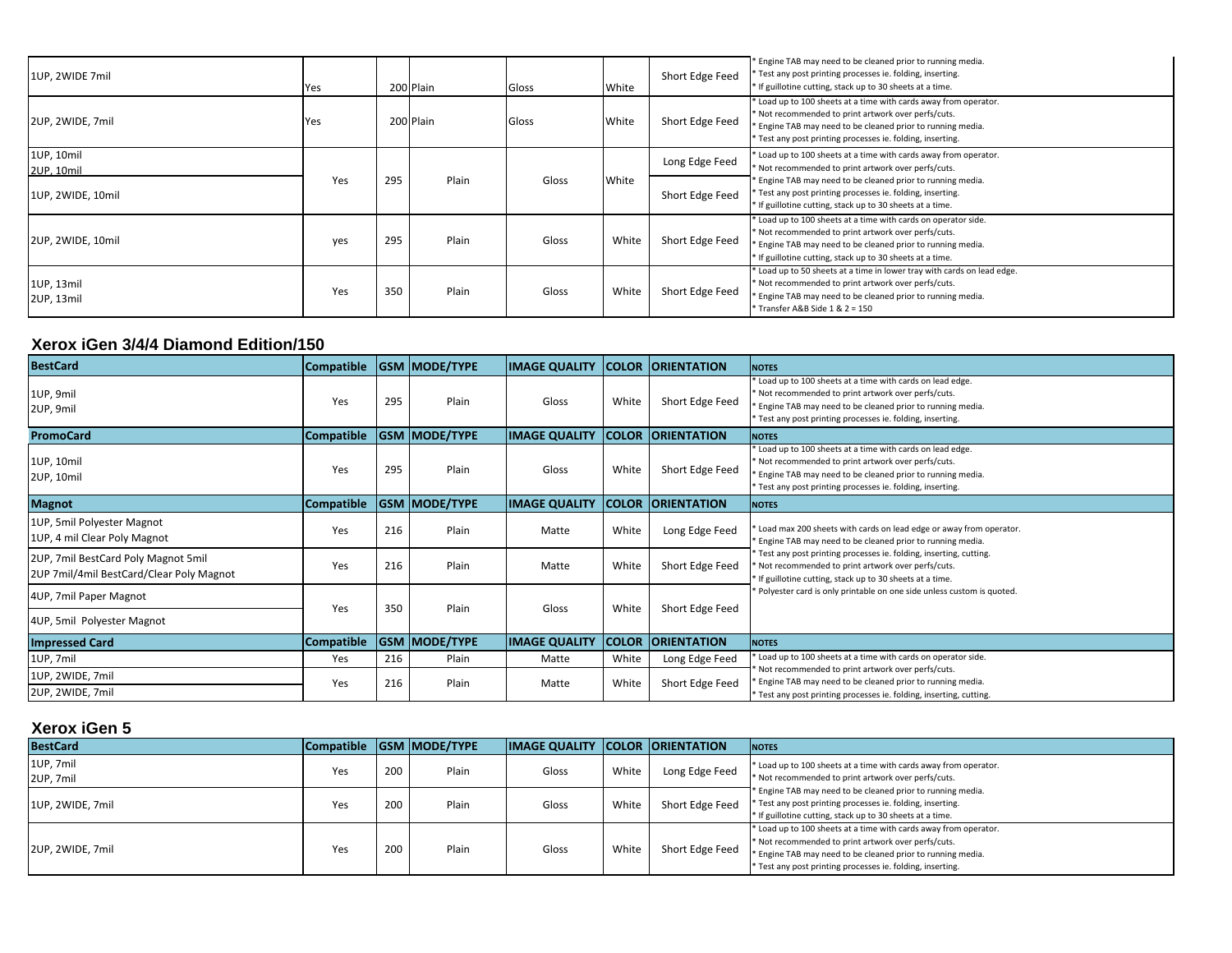| 1UP, 2WIDE 7mil          | Yes |     | 200 Plain | Gloss | White | Short Edge Feed | * Engine TAB may need to be cleaned prior to running media.<br>Test any post printing processes ie. folding, inserting.<br>* If guillotine cutting, stack up to 30 sheets at a time.                                                                 |
|--------------------------|-----|-----|-----------|-------|-------|-----------------|------------------------------------------------------------------------------------------------------------------------------------------------------------------------------------------------------------------------------------------------------|
| 2UP, 2WIDE, 7mil         | Yes |     | 200 Plain | Gloss | White | Short Edge Feed | * Load up to 100 sheets at a time with cards away from operator.<br>* Not recommended to print artwork over perfs/cuts.<br>* Engine TAB may need to be cleaned prior to running media.<br>* Test any post printing processes ie. folding, inserting. |
| 1UP, 10mil<br>2UP, 10mil |     |     |           |       |       | Long Edge Feed  | * Load up to 100 sheets at a time with cards away from operator.<br>* Not recommended to print artwork over perfs/cuts.                                                                                                                              |
| 1UP, 2WIDE, 10mil        | Yes | 295 | Plain     | Gloss | White | Short Edge Feed | * Engine TAB may need to be cleaned prior to running media.<br>Test any post printing processes ie. folding, inserting.<br>* If guillotine cutting, stack up to 30 sheets at a time.                                                                 |
| 2UP, 2WIDE, 10mil        | yes | 295 | Plain     | Gloss | White | Short Edge Feed | * Load up to 100 sheets at a time with cards on operator side.<br>* Not recommended to print artwork over perfs/cuts.<br>* Engine TAB may need to be cleaned prior to running media.<br>* If guillotine cutting, stack up to 30 sheets at a time.    |
| 1UP, 13mil<br>2UP, 13mil | Yes | 350 | Plain     | Gloss | White | Short Edge Feed | * Load up to 50 sheets at a time in lower tray with cards on lead edge.<br>* Not recommended to print artwork over perfs/cuts.<br>* Engine TAB may need to be cleaned prior to running media.<br>* Transfer A&B Side 1 & 2 = 150                     |

## **Xerox iGen 3/4/4 Diamond Edition/150**

| <b>BestCard</b>                                                                 | <b>Compatible</b> |     | <b>GSM MODE/TYPE</b> | <b>IMAGE QUALITY</b> |       | <b>COLOR ORIENTATION</b> | <b>NOTES</b>                                                                                                                                                                                                                                                                                                                                                                                          |
|---------------------------------------------------------------------------------|-------------------|-----|----------------------|----------------------|-------|--------------------------|-------------------------------------------------------------------------------------------------------------------------------------------------------------------------------------------------------------------------------------------------------------------------------------------------------------------------------------------------------------------------------------------------------|
| 1UP, 9mil<br>2UP, 9mil                                                          | Yes               | 295 | Plain                | Gloss                | White | Short Edge Feed          | * Load up to 100 sheets at a time with cards on lead edge.<br>Not recommended to print artwork over perfs/cuts.<br>Engine TAB may need to be cleaned prior to running media.<br>Test any post printing processes ie. folding, inserting.                                                                                                                                                              |
| <b>PromoCard</b>                                                                | <b>Compatible</b> |     | <b>GSM MODE/TYPE</b> | <b>IMAGE QUALITY</b> |       | <b>COLOR ORIENTATION</b> | <b>NOTES</b>                                                                                                                                                                                                                                                                                                                                                                                          |
| 1UP, 10mil<br>2UP, 10mil                                                        | Yes               | 295 | Plain                | Gloss                | White | Short Edge Feed          | Load up to 100 sheets at a time with cards on lead edge.<br>Not recommended to print artwork over perfs/cuts.<br>Engine TAB may need to be cleaned prior to running media.<br>Test any post printing processes ie. folding, inserting.                                                                                                                                                                |
| <b>Magnot</b>                                                                   | <b>Compatible</b> |     | <b>GSM MODE/TYPE</b> | <b>IMAGE QUALITY</b> |       | <b>COLOR ORIENTATION</b> | <b>NOTES</b>                                                                                                                                                                                                                                                                                                                                                                                          |
| 1UP, 5mil Polyester Magnot<br>1UP, 4 mil Clear Poly Magnot                      | Yes               | 216 | Plain                | Matte                | White | Long Edge Feed           | Load max 200 sheets with cards on lead edge or away from operator.<br>* Engine TAB may need to be cleaned prior to running media.<br>* Test any post printing processes ie. folding, inserting, cutting.<br>Not recommended to print artwork over perfs/cuts.<br>* If guillotine cutting, stack up to 30 sheets at a time.<br>* Polyester card is only printable on one side unless custom is quoted. |
| 2UP, 7mil BestCard Poly Magnot 5mil<br>2UP 7mil/4mil BestCard/Clear Poly Magnot | Yes               | 216 | Plain                | Matte                | White | Short Edge Feed          |                                                                                                                                                                                                                                                                                                                                                                                                       |
| 4UP, 7mil Paper Magnot                                                          | Yes               | 350 | Plain                | Gloss                | White | Short Edge Feed          |                                                                                                                                                                                                                                                                                                                                                                                                       |
| 4UP, 5mil Polyester Magnot                                                      |                   |     |                      |                      |       |                          |                                                                                                                                                                                                                                                                                                                                                                                                       |
| <b>Impressed Card</b>                                                           | <b>Compatible</b> |     | <b>GSM MODE/TYPE</b> | <b>IMAGE QUALITY</b> |       | <b>COLOR ORIENTATION</b> | <b>NOTES</b>                                                                                                                                                                                                                                                                                                                                                                                          |
| 1UP, 7mil                                                                       | Yes               | 216 | Plain                | Matte                | White | Long Edge Feed           | Load up to 100 sheets at a time with cards on operator side.                                                                                                                                                                                                                                                                                                                                          |
| 1UP, 2WIDE, 7mil                                                                | Yes               | 216 | Plain                | Matte                | White | Short Edge Feed          | Not recommended to print artwork over perfs/cuts.<br>Engine TAB may need to be cleaned prior to running media.                                                                                                                                                                                                                                                                                        |
| 2UP, 2WIDE, 7mil                                                                |                   |     |                      |                      |       |                          | Test any post printing processes ie. folding, inserting, cutting.                                                                                                                                                                                                                                                                                                                                     |

### **Xerox iGen 5**

| <b>BestCard</b>  |     |     | Compatible GSM MODE/TYPE | <b>IMAGE QUALITY COLOR CORIENTATION</b> |       |                 | <b>NOTES</b>                                                                                                                                                                                                                                         |
|------------------|-----|-----|--------------------------|-----------------------------------------|-------|-----------------|------------------------------------------------------------------------------------------------------------------------------------------------------------------------------------------------------------------------------------------------------|
| 1UP, 7mil        | Yes | 200 | Plain                    | Gloss                                   | White | Long Edge Feed  | * Load up to 100 sheets at a time with cards away from operator.                                                                                                                                                                                     |
| 2UP, 7mil        |     |     |                          |                                         |       |                 | * Not recommended to print artwork over perfs/cuts.                                                                                                                                                                                                  |
| 1UP, 2WIDE, 7mil | Yes | 200 | Plain                    | Gloss                                   | White | Short Edge Feed | * Engine TAB may need to be cleaned prior to running media.<br>* Test any post printing processes ie. folding, inserting.<br>* If guillotine cutting, stack up to 30 sheets at a time.                                                               |
| 2UP, 2WIDE, 7mil | Yes | 200 | Plain                    | Gloss                                   | White | Short Edge Feed | * Load up to 100 sheets at a time with cards away from operator.<br>* Not recommended to print artwork over perfs/cuts.<br>* Engine TAB may need to be cleaned prior to running media.<br>* Test any post printing processes ie. folding, inserting. |